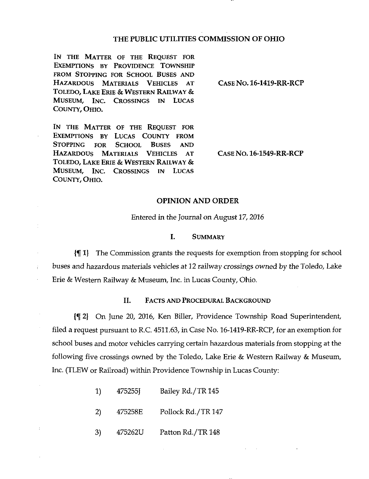## THE PUBLIC UTILITIES COMMISSION OF OHIO

IN THE MATTER OF THE REQUEST FOR EXEMPTIONS BY PROVIDENCE TOWNSHIP FROM STOPPING FOR SCHOOL BUSES AND HAZARDOUS MATERIALS VEHICLES AT CASE NO. 16-1419-RR-RCP TOLEDO, LAKE ERIE & WESTERN RAILWAY & MUSEUM, INC. CROSSINGS IN LUCAS COUNTY, OHIO.

IN THE MATTER OF THE REQUEST FOR EXEMPTIONS BY LUCAS COUNTY FROM STOPPING FOR SCHOOL BUSES AND HAZARDOUS MATERIALS VEHICLES AT CASE NO . 16-1549-RR-RCP TOLEDO, LAKE ERIE & WESTERN RAILWAY & MUSEUM, INC. CROSSINGS IN LUCAS COUNTY, OHIO.

 $\frac{1}{2}$ 

## OPINION AND ORDER

Entered in the Journal on August 17, 2016

### I. SUMMARY

If 1} The Commission grants the requests for exemption from stopping for school buses and hazardous materials vehicles at 12 railway crossings owned by the Toledo, Lake Erie & Western Railway & Museum, Inc. in Lucas County, Ohio.

## II. FACTS AND PROCEDURAL BACKGROUND

jf 2} On June 20, 2016, Ken Biller, Providence Township Road Superintendent, filed a request pursuant to R.C 4511.63, in Case No. 16-1419-RR-RCP, for an exemption for school buses and motor vehicles carrying certain hazardous materials from stopping at the following five crossings owned by the Toledo, Lake Erie & Westem Railway & Museum, Inc. (TLEW or Railroad) within Providence Township in Lucas County:

- 1) 475255J Bailey Rd./TR 145
- 2) 475258E Pollock Rd./TR 147
- 3) 475262U Patton Rd./TR 148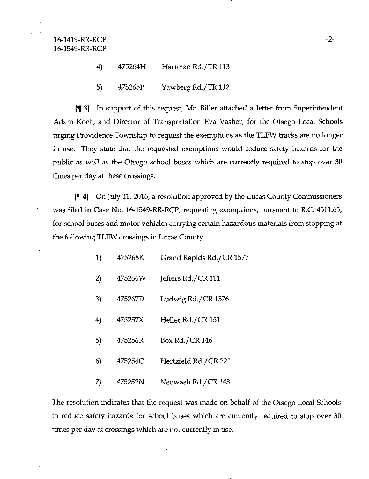## 4) 475264H Hartman Rd./TR 113

5) 475265P Yawberg Rd./TR 112

jf 3} In support of this request, Mr. Biller attached a letter from Superintendent Adam Koch, and Director of Transportation Eva Vasher, for the Otsego Local Schools urging Providence Township to request the exemptions as the TLEW ttacks are no longer in use. They state that the requested exemptions would reduce safety hazards for the public as well as the Otsego school buses which are currently required to stop over 30 times per day at these crossings.

jf 4) On July 11, 2016, a resolution approved by the Lucas County Commissioners was filed in Case No. 16-1549-RR-RCP, requesting exemptions, pursuant to R.C. 4511.63, for school buses and motor vehicles carrying certain hazardous materials from stopping at the following TLEW crossings in Lucas County:

| 1) | 475268K | Grand Rapids Rd./CR 1577 |
|----|---------|--------------------------|
| 2) | 475266W | Jeffers Rd./CR 111       |
| 3) | 475267D | Ludwig Rd./CR 1576       |
| 4) | 475257X | Heller Rd./CR 151        |
| 5) | 475256R | Box Rd./CR 146           |
| 6) | 475254C | Hertzfeld Rd./CR 221     |
| 7) | 475252N | Neowash Rd./CR 143       |

The resolution indicates that the request was made on behalf of the Otsego Local Schools to reduce safety hazards for school buses which are currently required to stop over 30 times per day at crossings which are not currently in use.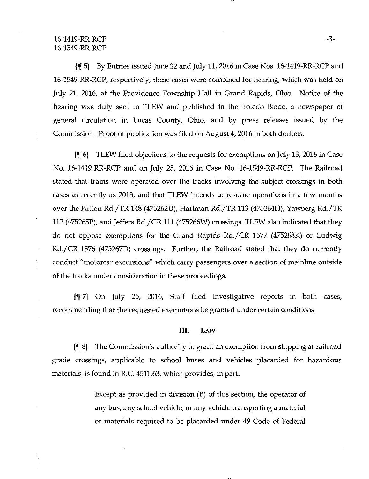## $16-1419-RR-RCP$   $-3-$ 16-1549-RR-RCP

 $\{\P\}$  By Entries issued June 22 and July 11, 2016 in Case Nos. 16-1419-RR-RCP and 16-1549-RR-RCP, respectively, these cases were combined for hearing, which was held on July 21, 2016, at the Providence Township Hall in Grand Rapids, Ohio. Notice of the hearing was duly sent to TLEW and published in the Toledo Blade, a newspaper of general circulation in Lucas County, Ohio, and by press releases issued by the Commission. Proof of publication was filed on August 4, 2016 in both dockets.

If 6) TLEW filed objections to the requests for exemptions on July 13, 2016 in Case No. 16-1419-RR-RCP and on July 25, 2016 in Case No. 16-1549-RR-RCP. The Railroad stated that trains were operated over the tracks involving the subject crossings in both cases as recently as 2013, and that TLEW intends to resume operations in a few months over the Patton Rd./TR 148 (475262U), Harttnan Rd./TR 113 (475264H), Yawberg Rd./TR 112 (475265P), and Jeffers Rd./CR 111 (475266V\0 crossings. TLEW also indicated that they do not oppose exemptions for the Grand Rapids Rd./CR 1577 (475268K) or Ludwig Rd./CR 1576 (475267D) crossings. Further, the Railroad stated that they do currently conduct "motorcar excursions" which carry passengers over a section of mainline outside of the ttacks under consideration in these proceedings.

If 7) On July 25, 2016, Staff filed investigative reports in both cases, recommending that the requested exemptions be granted under certain conditions.

## IIL LAW

jf 8} The Commission's authority to grant an exemption from stopping at railroad grade crossings, applicable to school buses and vehicles placarded for hazardous materials, is found in R.C. 4511.63, which provides, in part:

> Except as provided in division (B) of this section, the operator of any bus, any school vehicle, or any vehicle transporting a material or materials required to be placarded under 49 Code of Federal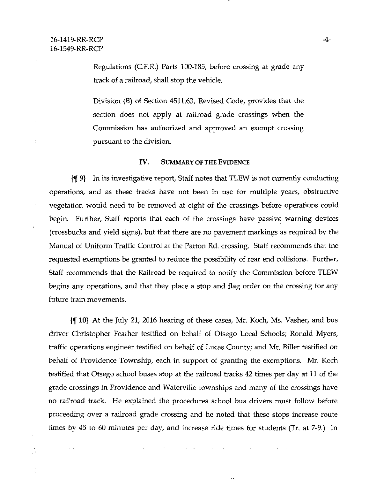$\bar{z}$ 

 $\sim 100$  $\sim$  Regulations (C.F.R.) Parts 100-185, before crossing at grade any track of a railroad, shall stop the vehicle.

Division (B) of Section 4511.63, Revised Code, provides that the section does not apply at railroad grade crossings when the Commission has authorized and approved an exempt crossing pursuant to the division.

#### IV. SUMMARY OF THE EVIDENCE

jf 9) In its investigative report. Staff notes that TLEW is not currently conducting operations, and as these tracks have not been in use for multiple years, obstructive vegetation would need to be removed at eight of the crossings before operations could begin. Further, Staff reports that each of the crossings have passive warning devices (crossbucks and yield signs), but that there are no pavement markings as required by the Manual of Uniform Traffic Conttol at the Patton Rd. crossing. Staff recommends that the requested exemptions be granted to reduce the possibility of rear end collisions. Further, Staff reconunends that the Railroad be required to notify the Commission before TLEW begins any operations, and that they place a stop and flag order on the crossing for any future train movements.

jf 10} At the July 21, 2016 hearing of these cases, Mr. Koch, Ms. Vasher, and bus driver Christopher Feather testified on behalf of Otsego Local Schools; Ronald Myers, ttaffic operations engineer testified on behalf of Lucas County; and Mr. Biller testified on behalf of Providence Township, each in support of granting the exemptions. Mr. Koch testified that Otsego school buses stop at the railroad tracks 42 times per day at 11 of the grade crossings in Providence and Waterville townships and many of the crossings have no railroad track. He explained the procedures school bus drivers must follow before proceeding over a railroad grade crossing and he noted that these stops increase route times by 45 to 60 minutes per day, and increase ride times for students (Tr. at 7-9.) In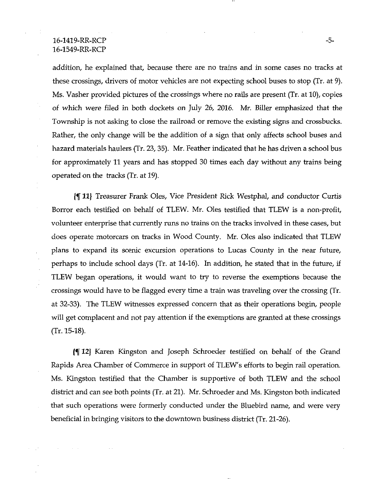## $16-1419-RR-RCP$   $-5-$ 16-1549-RR-RCP

addition, he explained that, because there are no trains and in some cases no tracks at these crossings, drivers of motor vehicles are not expecting school buses to stop (Tr. at 9). Ms. Vasher provided pictures of the crossings where no rails are present (Tr. at 10), copies of which were filed in both dockets on July 26, 2016. Mr. Biller emphasized that the Township is not asking to close the railroad or remove the existing signs and crossbucks. Rather, the only change will be the addition of a sign that only affects school buses and hazard materials haulers (Tr. 23, 35). Mr. Feather indicated that he has driven a school bus for approximately 11 years and has stopped 30 times each day without any ttains being operated on the ttacks (Tr. at 19).

Jf 11) Treasurer Frank Oles, Vice President Rick Westphal, and conductor Curtis Borror each testified on behalf of TLEW. Mr. Oles testified that TLEW is a non-profit, volunteer enterprise that currently runs no trains on the tracks involved in these cases, but does operate motorcars on ttacks in Wood County. Mr. Oles also indicated that TLEW plans to expand its scenic excursion operations to Lucas County in the near future, perhaps to include school days (Tr. at 14-16). In addition, he stated that in the future, if TLEW began operations, it would want to try to reverse the exemptions because the crossings would have to be flagged every time a ttain was ttaveling over the crossing (Tr. at 32-33). The TLEW witnesses expressed concern that as their operations begin, people will get complacent and not pay attention if the exemptions are granted at these crossings (Tr. 15-18).

Jf 12} Karen Kingston and Joseph Schroeder testified on behalf of the Grand Rapids Area Chamber of Commerce in support of TLEW's efforts to begin rail operation. Ms. Kingston testified that the Chamber is supportive of both TLEW and the school disttict and can see both points (Tr. at 21). Mr. Schroeder and Ms. Kingston both indicated that such operations were formerly conducted under the Bluebird name, and were very beneficial in bringing visitors to the downtown business disttict (Tr. 21-26).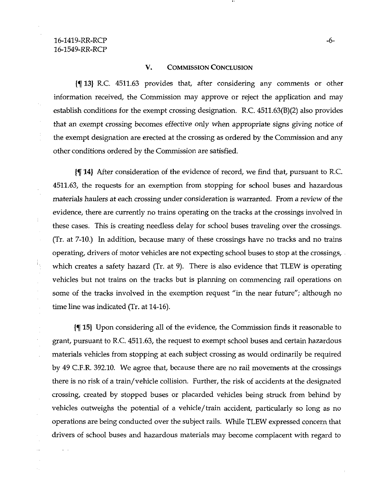÷

 $\mathbf{1}_{\mathbf{1}}$ 

### V. COMMISSION CONCLUSION

jf 13} R.C. 4511.63 provides that, after considering any comments or other information received, the Commission may approve or reject the application and may establish conditions for the exempt crossing designation. R.C. 4511.63(B)(2) also provides that an exempt crossing becomes effective only when appropriate signs giving notice of the exempt designation are erected at the crossing as ordered by the Commission and any other conditions ordered by the Commission are satisfied.

If 14} After consideration of the evidence of record, we find that, pursuant to R.C. 4511.63, the requests for an exemption from stopping for school buses and hazardous materials haulers at each crossing under consideration is warranted. From a review of the evidence, there are currently no trains operating on the tracks at the crossings involved in these cases. This is creating needless delay for school buses ttaveling over the crossings. (Tr. at 7-10.) In addition, because many of these crossings have no tracks and no trains operating, drivers of motor vehicles are not expecting school buses to stop at the crossings, which creates a safety hazard (Tr. at 9). There is also evidence that TLEW is operating vehicles but not trains on the tracks but is planning on commencing rail operations on some of the tracks involved in the exemption request "in the near future"; although no time line was indicated (Tr. at 14-16).

If 15) Upon considering all of the evidence, the Commission finds it reasonable to grant, pursuant to R.C. 4511.63, the request to exempt school buses and certain hazardous materials vehicles from stopping at each subject crossing as would ordinarily be required by 49 C.F.R. 392.10. We agree that, because there are no rail movements at the crossings there is no risk of a ttain/vehicle collision. Further, the risk of accidents at the designated crossing, created by stopped buses or placarded vehicles being sttuck from behind by vehicles outweighs the potential of a vehicle/ttain accident, particularly so long as no operations are being conducted over the subject rails. While TLEW expressed concern that drivers of school buses and hazardous materials may become complacent with regard to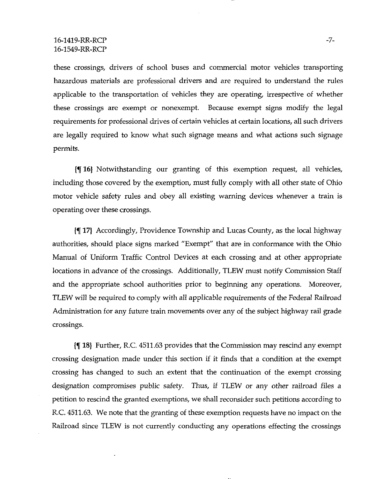these crossings, drivers of school buses and commercial motor vehicles ttansporting hazardous materials are professional drivers and are required to understand the rules applicable to the transportation of vehicles they are operating, irrespective of whether these crossings are exempt or nonexempt. Because exempt signs modify the legal requirements for professional drives of certain vehicles at certain locations, all such drivers are legally required to know what such signage means and what actions such signage permits.

If 16} Notwithstanding our granting of this exemption request, all vehicles, including those covered by the exemption, must fully comply with all other state of Ohio motor vehicle safety rules and obey all existing warning devices whenever a ttain is operating over these crossings.

If 17} Accordingly, Providence Township and Lucas County, as the local highway authorities, should place signs marked "Exempt" that are in conformance with the Ohio Manual of Uniform Traffic Conttol Devices at each crossing and at other appropriate locations in advance of the crossings. Additionally, TLEW must notify Commission Staff and the appropriate school authorities prior to beginning any operations. Moreover, TLEW will be required to comply with all applicable requirements of the Federal Railroad Administration for any future train movements over any of the subject highway rail grade crossings-

jf 18} Further, R.C. 4511.63 provides that the Commission may rescind any exempt crossing designation made under this section if it finds that a condition at the exempt crossing has changed to such an extent that the continuation of the exempt crossing designation compromises public safety. Thus, if TLEW or any other railroad files a petition to rescind the granted exemptions, we shall reconsider such petitions according to R.C. 4511.63. We note that the granting of these exemption requests have no impact on the Railroad since TLEW is not currently conducting any operations effecting the crossings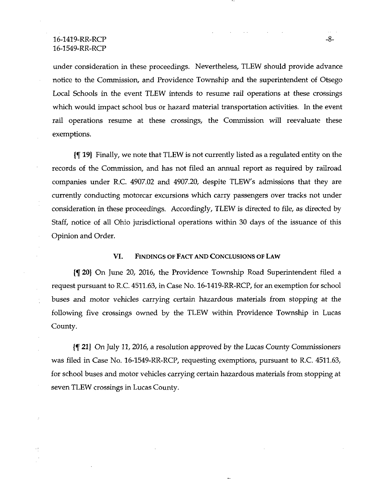## 16-1419-RR-RCP -8-16-1549-RR-RCP

under consideration in these proceedings. Nevertheless, TLEW should provide advance notice to the Commission, and Providence Township and the superintendent of Otsego Local Schools in the event TLEW intends to resume rail operations at these crossings which would impact school bus or hazard material transportation activities. In the event rail operations resume at these crossings, the Commission will reevaluate these exemptions.

jf 19} Finally, we note that TLEW is not currently listed as a regulated entity on the records of the Commission, and has not filed an annual report as required by railroad companies under R.C. 4907.02 and 4907.20, despite TLEW's admissions that they are currently conducting motorcar excursions which carry passengers over ttacks not under consideration in these proceedings. Accordingly, TLEW is directed to file, as directed by Staff, notice of all Ohio jurisdictional operations within 30 days of the issuance of this Opinion and Order.

## VI. FINDINGS OF FACT AND CONCLUSIONS OF LAW

jf 20) On June 20, 2016, the Providence Township Road Superintendent filed a request pursuant to R.C. 4511.63, in Case No. 16-1419-RR-RCP, for an exemption for school buses and motor vehicles carrying certain hazardous materials from stopping at the following five crossings owned by the TLEW within Providence Township in Lucas County.

Jf 21} On July 11, 2016, a resolution approved by the Lucas County Commissioners was filed in Case No. 16-1549-RR-RCP, requesting exemptions, pursuant to R.C. 4511.63, for school buses and motor vehicles carrying certain hazardous materials from stopping at seven TLEW crossings in Lucas County.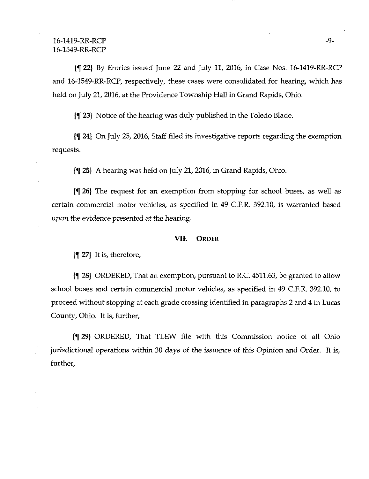$\{\P$  22} By Entries issued June 22 and July 11, 2016, in Case Nos. 16-1419-RR-RCP and 16-1549-RR-RCP, respectively, these cases were consolidated for hearing, which has held on July 21, 2016, at the Providence Township Hall in Grand Rapids, Ohio.

If 23} Notice of the hearing was duly published in the Toledo Blade.

If 24) On July 25, 2016, Staff filed its investigative reports regarding the exemption requests.

jf 25} A hearing was held on July 21,2016, in Grand Rapids, Ohio.

 $\{\P$  26} The request for an exemption from stopping for school buses, as well as certain commercial motor vehicles, as specified in 49 C.F.R. 392.10, is warranted based upon the evidence presented at the hearing.

#### VIL ORDER

 $\{\P 27\}$  It is, therefore,

 $\P$  28} ORDERED, That an exemption, pursuant to R.C. 4511.63, be granted to allow school buses and certain commercial motor vehicles, as specified in 49 C.F.R, 392.10, to proceed without stopping at each grade crossing identified in paragraphs 2 and 4 in Lucas County, Ohio. It is, further.

If 29} ORDERED, That TLEW file with this Commission notice of all Ohio jurisdictional operations within 30 days of the issuance of this Opinion and Order. It is, further.